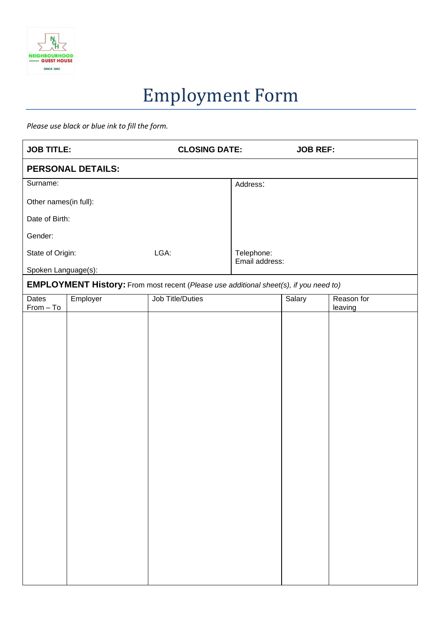

## Employment Form

*Please use black or blue ink to fill the form.*

| <b>JOB TITLE:</b>                                                                            |          |                         | <b>CLOSING DATE:</b> |        | <b>JOB REF:</b>       |  |  |
|----------------------------------------------------------------------------------------------|----------|-------------------------|----------------------|--------|-----------------------|--|--|
| <b>PERSONAL DETAILS:</b>                                                                     |          |                         |                      |        |                       |  |  |
| Surname:                                                                                     |          |                         | Address:             |        |                       |  |  |
| Other names(in full):                                                                        |          |                         |                      |        |                       |  |  |
| Date of Birth:                                                                               |          |                         |                      |        |                       |  |  |
| Gender:                                                                                      |          |                         |                      |        |                       |  |  |
| State of Origin:                                                                             |          | LGA:                    | Telephone:           |        |                       |  |  |
| Spoken Language(s):                                                                          |          |                         | Email address:       |        |                       |  |  |
| <b>EMPLOYMENT History:</b> From most recent (Please use additional sheet(s), if you need to) |          |                         |                      |        |                       |  |  |
| Dates<br>$From - To$                                                                         | Employer | <b>Job Title/Duties</b> |                      | Salary | Reason for<br>leaving |  |  |
|                                                                                              |          |                         |                      |        |                       |  |  |
|                                                                                              |          |                         |                      |        |                       |  |  |
|                                                                                              |          |                         |                      |        |                       |  |  |
|                                                                                              |          |                         |                      |        |                       |  |  |
|                                                                                              |          |                         |                      |        |                       |  |  |
|                                                                                              |          |                         |                      |        |                       |  |  |
|                                                                                              |          |                         |                      |        |                       |  |  |
|                                                                                              |          |                         |                      |        |                       |  |  |
|                                                                                              |          |                         |                      |        |                       |  |  |
|                                                                                              |          |                         |                      |        |                       |  |  |
|                                                                                              |          |                         |                      |        |                       |  |  |
|                                                                                              |          |                         |                      |        |                       |  |  |
|                                                                                              |          |                         |                      |        |                       |  |  |
|                                                                                              |          |                         |                      |        |                       |  |  |
|                                                                                              |          |                         |                      |        |                       |  |  |
|                                                                                              |          |                         |                      |        |                       |  |  |
|                                                                                              |          |                         |                      |        |                       |  |  |